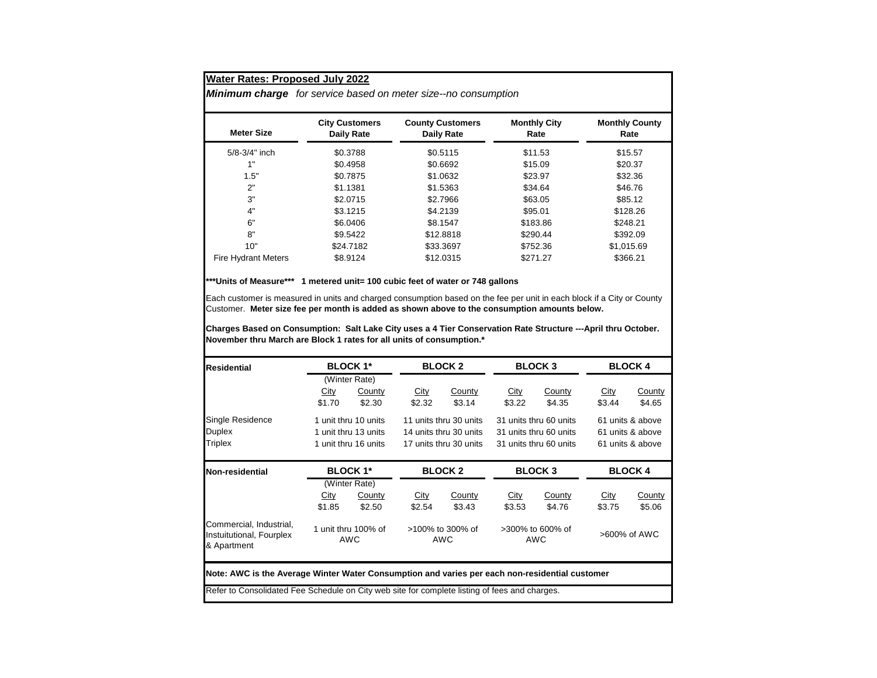*Minimum charge for service based on meter size--no consumption*

| <b>Meter Size</b>          | <b>City Customers</b><br>Daily Rate | <b>County Customers</b><br>Daily Rate | <b>Monthly City</b><br>Rate | <b>Monthly County</b><br>Rate |  |
|----------------------------|-------------------------------------|---------------------------------------|-----------------------------|-------------------------------|--|
| $5/8 - 3/4$ " inch         | \$0.3788                            | \$0.5115                              | \$11.53                     | \$15.57                       |  |
| 1"                         | \$0.4958                            | \$0.6692                              | \$15.09                     | \$20.37                       |  |
| 1.5"                       | \$0.7875                            | \$1.0632                              | \$23.97                     | \$32.36                       |  |
| 2"                         | \$1.1381                            | \$1.5363                              | \$34.64                     | \$46.76                       |  |
| 3"                         | \$2.0715                            | \$2.7966                              | \$63.05                     | \$85.12                       |  |
| 4"                         | \$3.1215                            | \$4.2139                              | \$95.01                     | \$128.26                      |  |
| 6"                         | \$6.0406                            | \$8.1547                              | \$183.86                    | \$248.21                      |  |
| 8"                         | \$9.5422                            | \$12,8818                             | \$290.44                    | \$392.09                      |  |
| 10"                        | \$24,7182                           | \$33,3697                             | \$752.36                    | \$1,015.69                    |  |
| <b>Fire Hydrant Meters</b> | \$8.9124                            | \$12.0315                             | \$271.27                    | \$366.21                      |  |

## **\*\*\*Units of Measure\*\*\* 1 metered unit= 100 cubic feet of water or 748 gallons**

Each customer is measured in units and charged consumption based on the fee per unit in each block if a City or County Customer. **Meter size fee per month is added as shown above to the consumption amounts below.**

**Charges Based on Consumption: Salt Lake City uses a 4 Tier Conservation Rate Structure ---April thru October. November thru March are Block 1 rates for all units of consumption.\***

| Residential                                                                                    | <b>BLOCK 1*</b><br>(Winter Rate) |               | <b>BLOCK 2</b>             |                        | <b>BLOCK3</b>           |        | <b>BLOCK 4</b>   |               |  |
|------------------------------------------------------------------------------------------------|----------------------------------|---------------|----------------------------|------------------------|-------------------------|--------|------------------|---------------|--|
|                                                                                                |                                  |               |                            |                        |                         |        |                  |               |  |
|                                                                                                | City                             | County        | City                       | County                 | City                    | County | City             | <b>County</b> |  |
|                                                                                                | \$1.70                           | \$2.30        | \$2.32                     | \$3.14                 | \$3.22                  | \$4.35 | \$3.44           | \$4.65        |  |
| <b>Single Residence</b>                                                                        | 1 unit thru 10 units             |               | 11 units thru 30 units     |                        | 31 units thru 60 units  |        | 61 units & above |               |  |
| <b>Duplex</b>                                                                                  | 1 unit thru 13 units             |               | 14 units thru 30 units     |                        | 31 units thru 60 units  |        | 61 units & above |               |  |
| <b>Triplex</b>                                                                                 | 1 unit thru 16 units             |               |                            | 17 units thru 30 units | 31 units thru 60 units  |        | 61 units & above |               |  |
| Non-residential                                                                                | <b>BLOCK 1*</b>                  |               | <b>BLOCK2</b>              |                        | <b>BLOCK3</b>           |        | <b>BLOCK 4</b>   |               |  |
|                                                                                                |                                  | (Winter Rate) |                            |                        |                         |        |                  |               |  |
|                                                                                                | City                             | County        | City                       | <b>County</b>          | <u>City</u>             | County | City             | <b>County</b> |  |
|                                                                                                | \$1.85                           | \$2.50        | \$2.54                     | \$3.43                 | \$3.53                  | \$4.76 | \$3.75           | \$5.06        |  |
| Commercial, Industrial,<br>Instuitutional, Fourplex<br>& Apartment                             | 1 unit thru 100% of<br>AWC       |               | $>100\%$ to 300% of<br>AWC |                        | >300% to 600% of<br>AWC |        | >600% of AWC     |               |  |
| Note: AWC is the Average Winter Water Consumption and varies per each non-residential customer |                                  |               |                            |                        |                         |        |                  |               |  |
| Refer to Consolidated Fee Schedule on City web site for complete listing of fees and charges.  |                                  |               |                            |                        |                         |        |                  |               |  |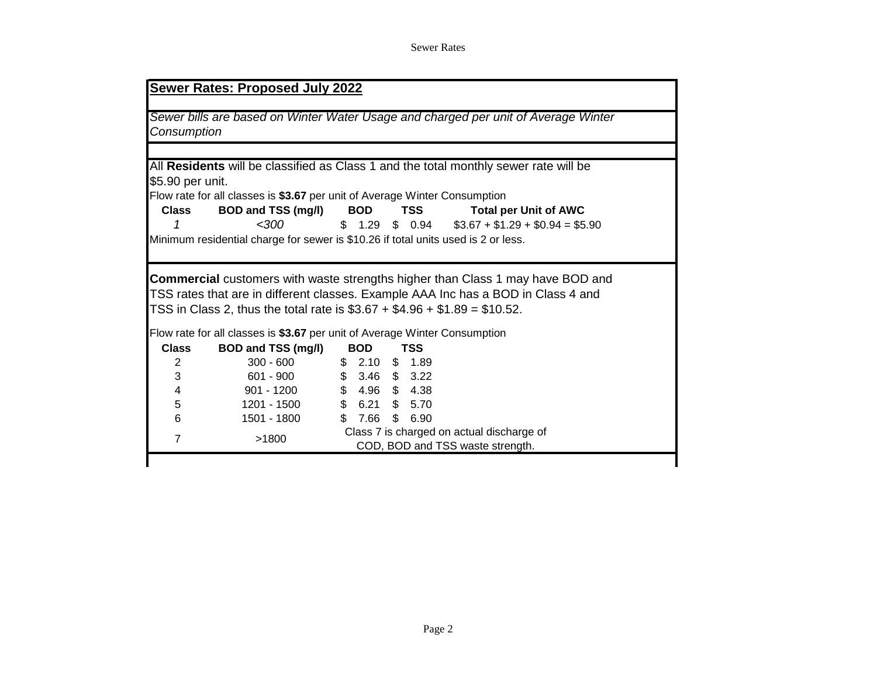## Sewer Rates

|                                |                                                                                   |     |                               |                 | Sewer bills are based on Winter Water Usage and charged per unit of Average Winter    |  |
|--------------------------------|-----------------------------------------------------------------------------------|-----|-------------------------------|-----------------|---------------------------------------------------------------------------------------|--|
| Consumption                    |                                                                                   |     |                               |                 |                                                                                       |  |
|                                |                                                                                   |     |                               |                 |                                                                                       |  |
|                                |                                                                                   |     |                               |                 | All Residents will be classified as Class 1 and the total monthly sewer rate will be  |  |
| \$5.90 per unit.               |                                                                                   |     |                               |                 |                                                                                       |  |
|                                | Flow rate for all classes is \$3.67 per unit of Average Winter Consumption        |     |                               |                 |                                                                                       |  |
| Class                          | <b>BOD and TSS (mg/l)</b>                                                         |     | <b>BOD</b>                    | TSS             | <b>Total per Unit of AWC</b>                                                          |  |
|                                | <300                                                                              |     |                               | $$1.29$ \$ 0.94 | $$3.67 + $1.29 + $0.94 = $5.90$                                                       |  |
|                                | Minimum residential charge for sewer is \$10.26 if total units used is 2 or less. |     |                               |                 |                                                                                       |  |
|                                |                                                                                   |     |                               |                 |                                                                                       |  |
|                                |                                                                                   |     |                               |                 | <b>Commercial</b> customers with waste strengths higher than Class 1 may have BOD and |  |
|                                | TSS in Class 2, thus the total rate is $$3.67 + $4.96 + $1.89 = $10.52$ .         |     |                               |                 | TSS rates that are in different classes. Example AAA Inc has a BOD in Class 4 and     |  |
|                                | Flow rate for all classes is \$3.67 per unit of Average Winter Consumption        |     |                               | TSS             |                                                                                       |  |
| <b>Class</b><br>$\overline{2}$ | <b>BOD and TSS (mg/l)</b><br>$300 - 600$                                          |     | <b>BOD</b><br>$$2.10$ \$ 1.89 |                 |                                                                                       |  |
| 3                              | 601 - 900                                                                         |     | $$3.46$ $$3.22$               |                 |                                                                                       |  |
| 4                              | 901 - 1200                                                                        |     | $$4.96$$ \$4.38               |                 |                                                                                       |  |
| 5                              | 1201 - 1500                                                                       |     | $$6.21$ \$ 5.70               |                 |                                                                                       |  |
| 6                              | 1501 - 1800                                                                       | \$. | 7.66                          | \$<br>6.90      |                                                                                       |  |
| $\overline{7}$                 | >1800                                                                             |     |                               |                 | Class 7 is charged on actual discharge of                                             |  |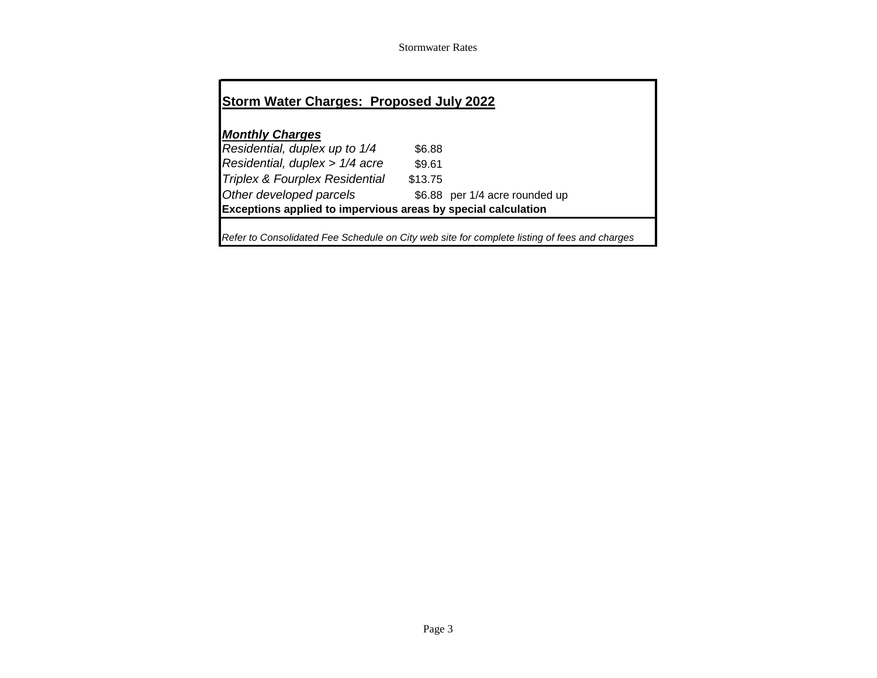Stormwater Rates

| <b>Storm Water Charges: Proposed July 2022</b>                                               |         |                                |  |  |  |  |
|----------------------------------------------------------------------------------------------|---------|--------------------------------|--|--|--|--|
|                                                                                              |         |                                |  |  |  |  |
| <b>Monthly Charges</b>                                                                       |         |                                |  |  |  |  |
| Residential, duplex up to 1/4                                                                | \$6.88  |                                |  |  |  |  |
| Residential, duplex > 1/4 acre                                                               | \$9.61  |                                |  |  |  |  |
| Triplex & Fourplex Residential                                                               | \$13.75 |                                |  |  |  |  |
| Other developed parcels                                                                      |         | \$6.88 per 1/4 acre rounded up |  |  |  |  |
| <b>Exceptions applied to impervious areas by special calculation</b>                         |         |                                |  |  |  |  |
| Refer to Consolidated Fee Schedule on City web site for complete listing of fees and charges |         |                                |  |  |  |  |